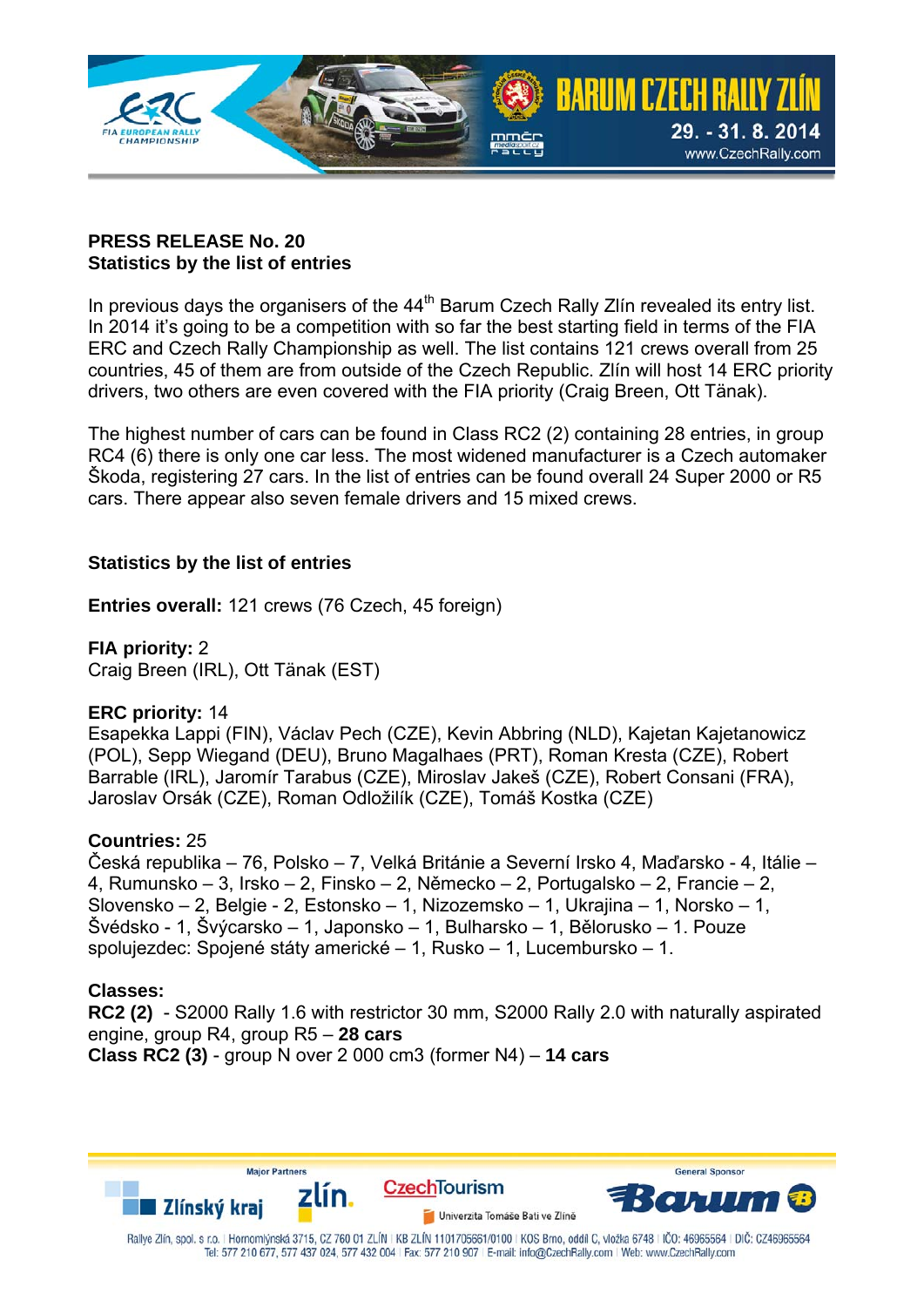

# **PRESS RELEASE No. 20 Statistics by the list of entries**

In previous days the organisers of the 44<sup>th</sup> Barum Czech Rally Zlín revealed its entry list. In 2014 it's going to be a competition with so far the best starting field in terms of the FIA ERC and Czech Rally Championship as well. The list contains 121 crews overall from 25 countries, 45 of them are from outside of the Czech Republic. Zlín will host 14 ERC priority drivers, two others are even covered with the FIA priority (Craig Breen, Ott Tänak).

The highest number of cars can be found in Class RC2 (2) containing 28 entries, in group RC4 (6) there is only one car less. The most widened manufacturer is a Czech automaker Škoda, registering 27 cars. In the list of entries can be found overall 24 Super 2000 or R5 cars. There appear also seven female drivers and 15 mixed crews.

# **Statistics by the list of entries**

**Entries overall:** 121 crews (76 Czech, 45 foreign)

**FIA priority:** 2 Craig Breen (IRL), Ott Tänak (EST)

# **ERC priority:** 14

Esapekka Lappi (FIN), Václav Pech (CZE), Kevin Abbring (NLD), Kajetan Kajetanowicz (POL), Sepp Wiegand (DEU), Bruno Magalhaes (PRT), Roman Kresta (CZE), Robert Barrable (IRL), Jaromír Tarabus (CZE), Miroslav Jakeš (CZE), Robert Consani (FRA), Jaroslav Orsák (CZE), Roman Odložilík (CZE), Tomáš Kostka (CZE)

# **Countries:** 25

Česká republika – 76, Polsko – 7, Velká Británie a Severní Irsko 4, Maďarsko - 4, Itálie – 4, Rumunsko – 3, Irsko – 2, Finsko – 2, Německo – 2, Portugalsko – 2, Francie – 2, Slovensko – 2, Belgie - 2, Estonsko – 1, Nizozemsko – 1, Ukrajina – 1, Norsko – 1, Švédsko - 1, Švýcarsko – 1, Japonsko – 1, Bulharsko – 1, Bělorusko – 1. Pouze spolujezdec: Spojené státy americké – 1, Rusko – 1, Lucembursko – 1.

# **Classes:**

**RC2 (2)** - S2000 Rally 1.6 with restrictor 30 mm, S2000 Rally 2.0 with naturally aspirated engine, group R4, group R5 – **28 cars Class RC2 (3)** - group N over 2 000 cm3 (former N4) – **14 cars**